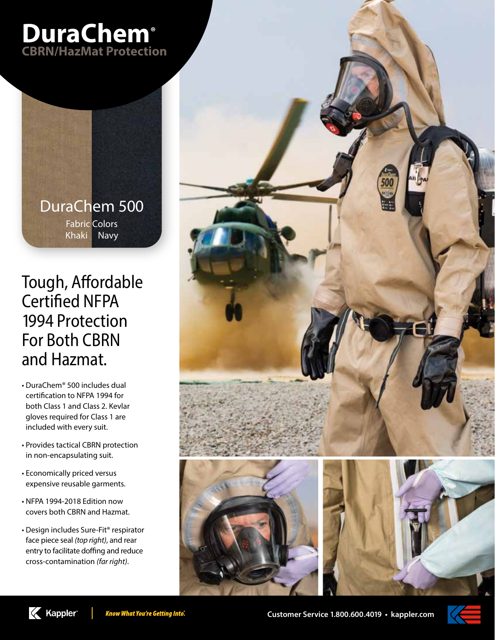

DuraChem 500 Fabric Colors Khaki Navy

# Tough, Affordable Certified NFPA 1994 Protection For Both CBRN and Hazmat.

- DuraChem®️ 500 includes dual certification to NFPA 1994 for both Class 1 and Class 2. Kevlar gloves required for Class 1 are included with every suit.
- Provides tactical CBRN protection in non-encapsulating suit.
- Economically priced versus expensive reusable garments.
- NFPA 1994-2018 Edition now covers both CBRN and Hazmat.

**K** Kappler

• Design includes Sure-Fit® respirator face piece seal *(top right)*, and rear entry to facilitate doffing and reduce cross-contamination *(far right)*.